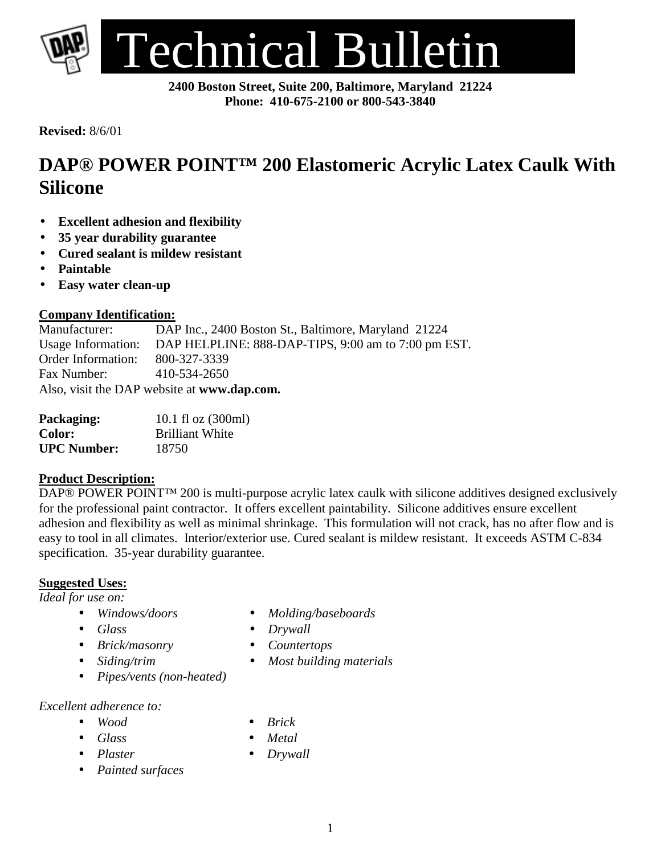

**2400 Boston Street, Suite 200, Baltimore, Maryland 21224 Phone: 410-675-2100 or 800-543-3840**

**Revised:** 8/6/01

## **DAP® POWER POINT™ 200 Elastomeric Acrylic Latex Caulk With Silicone**

- **Excellent adhesion and flexibility**
- **35 year durability guarantee**
- **Cured sealant is mildew resistant**
- **Paintable**
- **Easy water clean-up**

# **Company Identification:**<br>Manufacturer: DAI

DAP Inc., 2400 Boston St., Baltimore, Maryland 21224 Usage Information: DAP HELPLINE: 888-DAP-TIPS, 9:00 am to 7:00 pm EST. Order Information: 800-327-3339 Fax Number: 410-534-2650 Also, visit the DAP website at **www.dap.com.**

| Packaging:         | 10.1 fl oz $(300ml)$   |
|--------------------|------------------------|
| <b>Color:</b>      | <b>Brilliant White</b> |
| <b>UPC Number:</b> | 18750                  |

#### **Product Description:**

DAP® POWER POINT™ 200 is multi-purpose acrylic latex caulk with silicone additives designed exclusively for the professional paint contractor. It offers excellent paintability. Silicone additives ensure excellent adhesion and flexibility as well as minimal shrinkage. This formulation will not crack, has no after flow and is easy to tool in all climates. Interior/exterior use. Cured sealant is mildew resistant. It exceeds ASTM C-834 specification. 35-year durability guarantee.

#### **Suggested Uses:**

*Ideal for use on:*

- 
- 
- *Brick/masonry Countertops*
- 
- *Pipes/vents (non-heated)*
- *Excellent adherence to:*
	- *Wood Brick*
	-
	-
	- *Painted surfaces*
- *Windows/doors Molding/baseboards*
- *Glass Drywall*
	-
- *Siding/trim Most building materials*
	-
- *Glass Metal*
- *Plaster Drywall*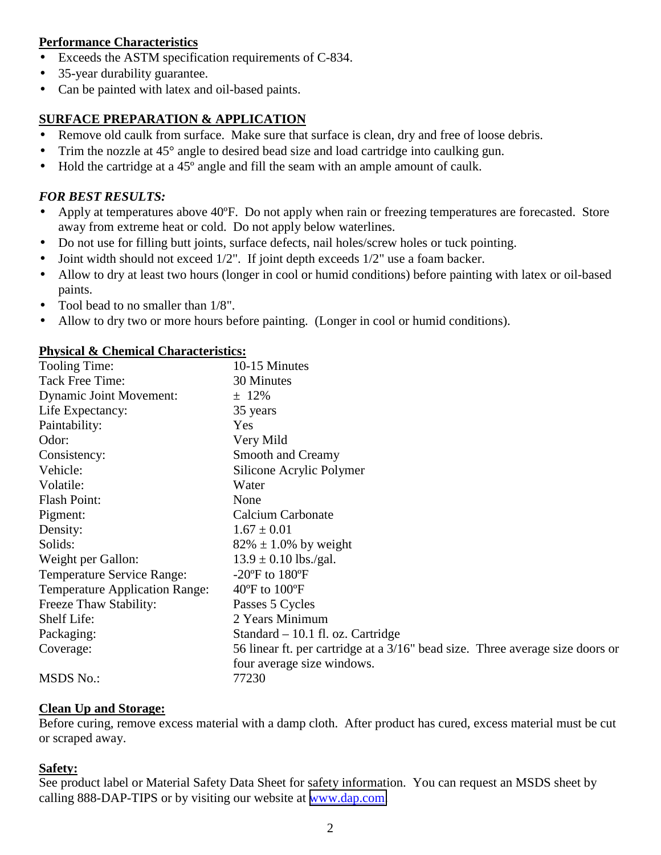#### **Performance Characteristics**

- Exceeds the ASTM specification requirements of C-834.
- 35-year durability guarantee.
- Can be painted with latex and oil-based paints.

#### **SURFACE PREPARATION & APPLICATION**

- Remove old caulk from surface. Make sure that surface is clean, dry and free of loose debris.
- Trim the nozzle at 45° angle to desired bead size and load cartridge into caulking gun.
- Hold the cartridge at a 45<sup>°</sup> angle and fill the seam with an ample amount of caulk.

#### *FOR BEST RESULTS:*

- Apply at temperatures above 40°F. Do not apply when rain or freezing temperatures are forecasted. Store away from extreme heat or cold. Do not apply below waterlines.
- Do not use for filling butt joints, surface defects, nail holes/screw holes or tuck pointing.
- Joint width should not exceed 1/2". If joint depth exceeds 1/2" use a foam backer.
- Allow to dry at least two hours (longer in cool or humid conditions) before painting with latex or oil-based paints.
- Tool bead to no smaller than  $1/8$ ".
- Allow to dry two or more hours before painting. (Longer in cool or humid conditions).

#### **Physical & Chemical Characteristics:**

| Tooling Time:                         | 10-15 Minutes                                                                 |
|---------------------------------------|-------------------------------------------------------------------------------|
| Tack Free Time:                       | 30 Minutes                                                                    |
| <b>Dynamic Joint Movement:</b>        | $± 12\%$                                                                      |
| Life Expectancy:                      | 35 years                                                                      |
| Paintability:                         | Yes                                                                           |
| Odor:                                 | Very Mild                                                                     |
| Consistency:                          | Smooth and Creamy                                                             |
| Vehicle:                              | Silicone Acrylic Polymer                                                      |
| Volatile:                             | Water                                                                         |
| <b>Flash Point:</b>                   | None                                                                          |
| Pigment:                              | <b>Calcium Carbonate</b>                                                      |
| Density:                              | $1.67 \pm 0.01$                                                               |
| Solids:                               | $82\% \pm 1.0\%$ by weight                                                    |
| Weight per Gallon:                    | $13.9 \pm 0.10$ lbs./gal.                                                     |
| <b>Temperature Service Range:</b>     | $-20^{\circ}$ F to $180^{\circ}$ F                                            |
| <b>Temperature Application Range:</b> | $40^{\circ}$ F to $100^{\circ}$ F                                             |
| Freeze Thaw Stability:                | Passes 5 Cycles                                                               |
| Shelf Life:                           | 2 Years Minimum                                                               |
| Packaging:                            | Standard – 10.1 fl. oz. Cartridge                                             |
| Coverage:                             | 56 linear ft. per cartridge at a 3/16" bead size. Three average size doors or |
|                                       | four average size windows.                                                    |
| <b>MSDS No.:</b>                      | 77230                                                                         |

#### **Clean Up and Storage:**

Before curing, remove excess material with a damp cloth. After product has cured, excess material must be cut or scraped away.

#### **Safety:**

See product label or Material Safety Data Sheet for safety information. You can request an MSDS sheet by calling 888-DAP-TIPS or by visiting our website at [www.dap.com.](http://www.dap.com/)